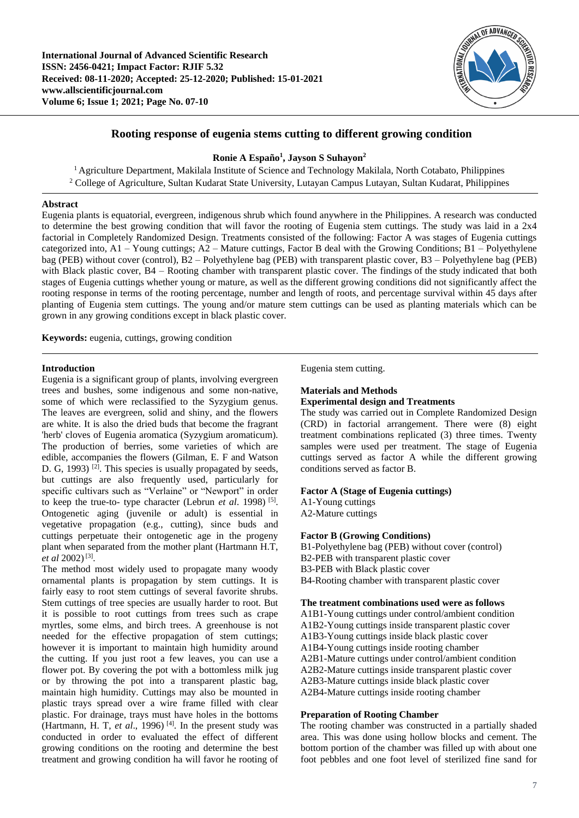

# **Rooting response of eugenia stems cutting to different growing condition**

# **Ronie A Españo<sup>1</sup> , Jayson S Suhayon<sup>2</sup>**

<sup>1</sup> Agriculture Department, Makilala Institute of Science and Technology Makilala, North Cotabato, Philippines <sup>2</sup> College of Agriculture, Sultan Kudarat State University, Lutayan Campus Lutayan, Sultan Kudarat, Philippines

## **Abstract**

Eugenia plants is equatorial, evergreen, indigenous shrub which found anywhere in the Philippines. A research was conducted to determine the best growing condition that will favor the rooting of Eugenia stem cuttings. The study was laid in a 2x4 factorial in Completely Randomized Design. Treatments consisted of the following: Factor A was stages of Eugenia cuttings categorized into, A1 – Young cuttings; A2 – Mature cuttings, Factor B deal with the Growing Conditions; B1 – Polyethylene bag (PEB) without cover (control), B2 – Polyethylene bag (PEB) with transparent plastic cover, B3 – Polyethylene bag (PEB) with Black plastic cover, B4 – Rooting chamber with transparent plastic cover. The findings of the study indicated that both stages of Eugenia cuttings whether young or mature, as well as the different growing conditions did not significantly affect the rooting response in terms of the rooting percentage, number and length of roots, and percentage survival within 45 days after planting of Eugenia stem cuttings. The young and/or mature stem cuttings can be used as planting materials which can be grown in any growing conditions except in black plastic cover.

**Keywords:** eugenia, cuttings, growing condition

# **Introduction**

Eugenia is a significant group of plants, involving evergreen trees and bushes, some indigenous and some non-native, some of which were reclassified to the Syzygium genus. The leaves are evergreen, solid and shiny, and the flowers are white. It is also the dried buds that become the fragrant 'herb' cloves of Eugenia aromatica (Syzygium aromaticum). The production of berries, some varieties of which are edible, accompanies the flowers (Gilman, E. F and Watson D. G, 1993)<sup>[2]</sup>. This species is usually propagated by seeds, but cuttings are also frequently used, particularly for specific cultivars such as "Verlaine" or "Newport" in order to keep the true-to- type character (Lebrun *et al*. 1998) [5] . Ontogenetic aging (juvenile or adult) is essential in vegetative propagation (e.g., cutting), since buds and cuttings perpetuate their ontogenetic age in the progeny plant when separated from the mother plant (Hartmann H.T, *et al* 2002)<sup>[3]</sup>.

The method most widely used to propagate many woody ornamental plants is propagation by stem cuttings. It is fairly easy to root stem cuttings of several favorite shrubs. Stem cuttings of tree species are usually harder to root. But it is possible to root cuttings from trees such as crape myrtles, some elms, and birch trees. A greenhouse is not needed for the effective propagation of stem cuttings; however it is important to maintain high humidity around the cutting. If you just root a few leaves, you can use a flower pot. By covering the pot with a bottomless milk jug or by throwing the pot into a transparent plastic bag, maintain high humidity. Cuttings may also be mounted in plastic trays spread over a wire frame filled with clear plastic. For drainage, trays must have holes in the bottoms (Hartmann, H. T,  $et$   $al$ , 1996)<sup>[4]</sup>. In the present study was conducted in order to evaluated the effect of different growing conditions on the rooting and determine the best treatment and growing condition ha will favor he rooting of Eugenia stem cutting.

# **Materials and Methods**

# **Experimental design and Treatments**

The study was carried out in Complete Randomized Design (CRD) in factorial arrangement. There were (8) eight treatment combinations replicated (3) three times. Twenty samples were used per treatment. The stage of Eugenia cuttings served as factor A while the different growing conditions served as factor B.

## **Factor A (Stage of Eugenia cuttings)**

A1-Young cuttings A2-Mature cuttings

## **Factor B (Growing Conditions)**

B1-Polyethylene bag (PEB) without cover (control) B2-PEB with transparent plastic cover B3-PEB with Black plastic cover B4-Rooting chamber with transparent plastic cover

## **The treatment combinations used were as follows**

A1B1-Young cuttings under control/ambient condition A1B2-Young cuttings inside transparent plastic cover A1B3-Young cuttings inside black plastic cover A1B4-Young cuttings inside rooting chamber A2B1-Mature cuttings under control/ambient condition A2B2-Mature cuttings inside transparent plastic cover A2B3-Mature cuttings inside black plastic cover A2B4-Mature cuttings inside rooting chamber

## **Preparation of Rooting Chamber**

The rooting chamber was constructed in a partially shaded area. This was done using hollow blocks and cement. The bottom portion of the chamber was filled up with about one foot pebbles and one foot level of sterilized fine sand for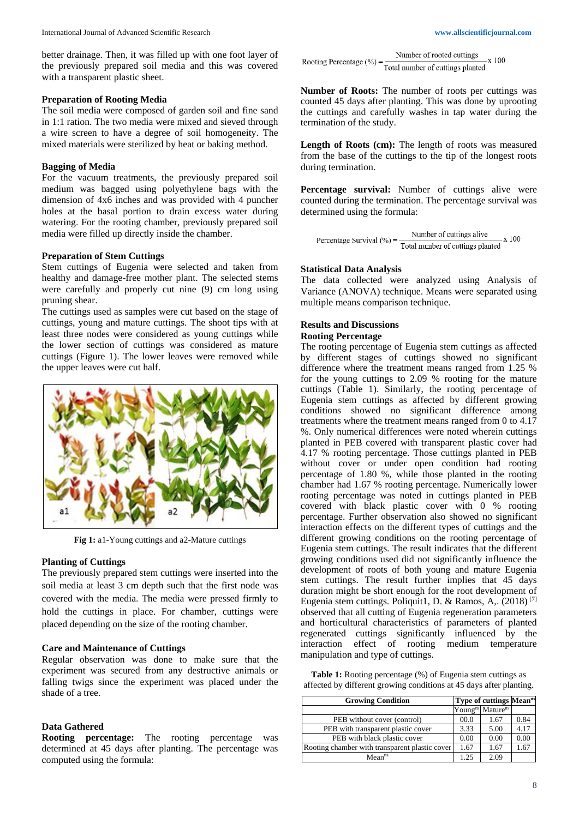better drainage. Then, it was filled up with one foot layer of the previously prepared soil media and this was covered with a transparent plastic sheet.

### **Preparation of Rooting Media**

The soil media were composed of garden soil and fine sand in 1:1 ration. The two media were mixed and sieved through a wire screen to have a degree of soil homogeneity. The mixed materials were sterilized by heat or baking method.

## **Bagging of Media**

For the vacuum treatments, the previously prepared soil medium was bagged using polyethylene bags with the dimension of 4x6 inches and was provided with 4 puncher holes at the basal portion to drain excess water during watering. For the rooting chamber, previously prepared soil media were filled up directly inside the chamber.

## **Preparation of Stem Cuttings**

Stem cuttings of Eugenia were selected and taken from healthy and damage-free mother plant. The selected stems were carefully and properly cut nine (9) cm long using pruning shear.

The cuttings used as samples were cut based on the stage of cuttings, young and mature cuttings. The shoot tips with at least three nodes were considered as young cuttings while the lower section of cuttings was considered as mature cuttings (Figure 1). The lower leaves were removed while the upper leaves were cut half.



**Fig 1:** a1-Young cuttings and a2-Mature cuttings

#### **Planting of Cuttings**

The previously prepared stem cuttings were inserted into the soil media at least 3 cm depth such that the first node was covered with the media. The media were pressed firmly to hold the cuttings in place. For chamber, cuttings were placed depending on the size of the rooting chamber.

### **Care and Maintenance of Cuttings**

Regular observation was done to make sure that the experiment was secured from any destructive animals or falling twigs since the experiment was placed under the shade of a tree.

## **Data Gathered**

**Rooting percentage:** The rooting percentage was determined at 45 days after planting. The percentage was computed using the formula:

Number of rooted cuttings  $\frac{1}{2}$  100 Rooting Percentage  $(\%) = \frac{\text{Number of rooted cuttings}}{\text{Total number of cuttings planted}}$ 

**Number of Roots:** The number of roots per cuttings was counted 45 days after planting. This was done by uprooting the cuttings and carefully washes in tap water during the termination of the study.

Length of Roots (cm): The length of roots was measured from the base of the cuttings to the tip of the longest roots during termination.

Percentage survival: Number of cuttings alive were counted during the termination. The percentage survival was determined using the formula:

Percentage Survival (
$$
\degree
$$
) =  $\frac{\text{Number of cuttings alive}}{\text{Total number of cuttings planted}} \times 100$ 

### **Statistical Data Analysis**

The data collected were analyzed using Analysis of Variance (ANOVA) technique. Means were separated using multiple means comparison technique.

# **Results and Discussions**

# **Rooting Percentage**

The rooting percentage of Eugenia stem cuttings as affected by different stages of cuttings showed no significant difference where the treatment means ranged from 1.25 % for the young cuttings to 2.09 % rooting for the mature cuttings (Table 1). Similarly, the rooting percentage of Eugenia stem cuttings as affected by different growing conditions showed no significant difference among treatments where the treatment means ranged from 0 to 4.17 %. Only numerical differences were noted wherein cuttings planted in PEB covered with transparent plastic cover had 4.17 % rooting percentage. Those cuttings planted in PEB without cover or under open condition had rooting percentage of 1.80 %, while those planted in the rooting chamber had 1.67 % rooting percentage. Numerically lower rooting percentage was noted in cuttings planted in PEB covered with black plastic cover with 0 % rooting percentage. Further observation also showed no significant interaction effects on the different types of cuttings and the different growing conditions on the rooting percentage of Eugenia stem cuttings. The result indicates that the different growing conditions used did not significantly influence the development of roots of both young and mature Eugenia stem cuttings. The result further implies that 45 days duration might be short enough for the root development of Eugenia stem cuttings. Poliquit1, D. & Ramos, A,. (2018) [7] observed that all cutting of Eugenia regeneration parameters and horticultural characteristics of parameters of planted regenerated cuttings significantly influenced by the interaction effect of rooting medium temperature manipulation and type of cuttings.

**Table 1:** Rooting percentage (%) of Eugenia stem cuttings as affected by different growing conditions at 45 days after planting.

| <b>Growing Condition</b>                       |      | Type of cuttings Mean <sup>ns</sup>      |      |
|------------------------------------------------|------|------------------------------------------|------|
|                                                |      | Young <sup>ns</sup> Mature <sup>ns</sup> |      |
| PEB without cover (control)                    | 00.0 | 1.67                                     | 0.84 |
| PEB with transparent plastic cover             | 3.33 | 5.00                                     | 4.17 |
| PEB with black plastic cover                   | 0.00 | 0.00                                     | 0.00 |
| Rooting chamber with transparent plastic cover | 1.67 | 1.67                                     | 1.67 |
| Mean <sup>ns</sup>                             | 1.25 | 2.09                                     |      |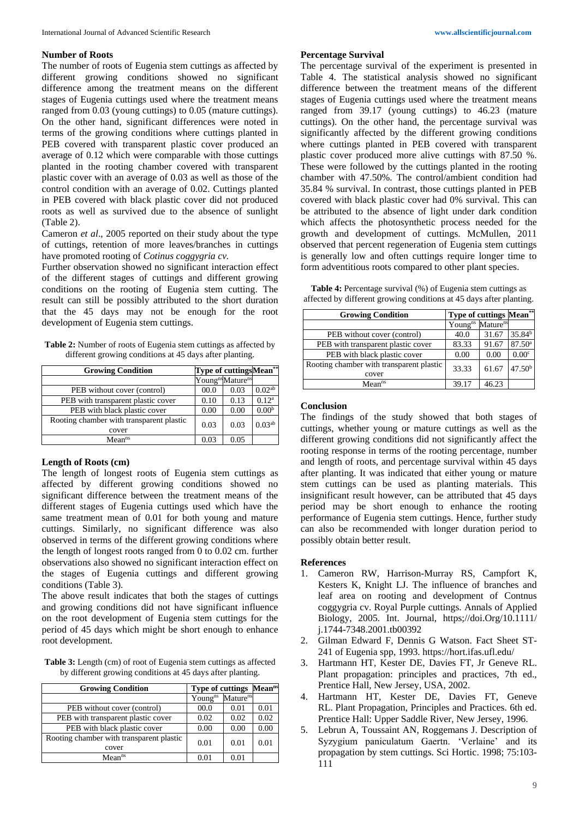### **Number of Roots**

The number of roots of Eugenia stem cuttings as affected by different growing conditions showed no significant difference among the treatment means on the different stages of Eugenia cuttings used where the treatment means ranged from 0.03 (young cuttings) to 0.05 (mature cuttings). On the other hand, significant differences were noted in terms of the growing conditions where cuttings planted in PEB covered with transparent plastic cover produced an average of 0.12 which were comparable with those cuttings planted in the rooting chamber covered with transparent plastic cover with an average of 0.03 as well as those of the control condition with an average of 0.02. Cuttings planted in PEB covered with black plastic cover did not produced roots as well as survived due to the absence of sunlight (Table 2).

Cameron *et al*., 2005 reported on their study about the type of cuttings, retention of more leaves/branches in cuttings have promoted rooting of *Cotinus coggygria cv.* 

Further observation showed no significant interaction effect of the different stages of cuttings and different growing conditions on the rooting of Eugenia stem cutting. The result can still be possibly attributed to the short duration that the 45 days may not be enough for the root development of Eugenia stem cuttings.

**Table 2:** Number of roots of Eugenia stem cuttings as affected by different growing conditions at 45 days after planting.

| <b>Growing Condition</b>                          |      | Type of cuttings Mean**                  |                   |
|---------------------------------------------------|------|------------------------------------------|-------------------|
|                                                   |      | Young <sup>ns</sup> Mature <sup>ns</sup> |                   |
| PEB without cover (control)                       | 00.0 | 0.03                                     | $0.02^{ab}$       |
| PEB with transparent plastic cover                | 0.10 | 0.13                                     | $0.12^{\rm a}$    |
| PEB with black plastic cover                      | 0.00 | 0.00                                     | 0.00 <sup>b</sup> |
| Rooting chamber with transparent plastic<br>cover | 0.03 | 0.03                                     | $0.03^{ab}$       |
| Mean <sup>ns</sup>                                | 0.03 | 0.05                                     |                   |

## **Length of Roots (cm)**

The length of longest roots of Eugenia stem cuttings as affected by different growing conditions showed no significant difference between the treatment means of the different stages of Eugenia cuttings used which have the same treatment mean of 0.01 for both young and mature cuttings. Similarly, no significant difference was also observed in terms of the different growing conditions where the length of longest roots ranged from 0 to 0.02 cm. further observations also showed no significant interaction effect on the stages of Eugenia cuttings and different growing conditions (Table 3).

The above result indicates that both the stages of cuttings and growing conditions did not have significant influence on the root development of Eugenia stem cuttings for the period of 45 days which might be short enough to enhance root development.

**Table 3:** Length (cm) of root of Eugenia stem cuttings as affected by different growing conditions at 45 days after planting.

| <b>Growing Condition</b>                 | Type of cuttings Mean <sup>ns</sup> |                             |      |
|------------------------------------------|-------------------------------------|-----------------------------|------|
|                                          | Young <sup>ns</sup>                 | <b>Mature</b> <sup>ns</sup> |      |
| PEB without cover (control)              | 00.0                                | 0.01                        | 0.01 |
| PEB with transparent plastic cover       | 0.02                                | 0.02                        | 0.02 |
| PEB with black plastic cover             | 0.00                                | 0.00                        | 0.00 |
| Rooting chamber with transparent plastic | 0.01                                | 0.01                        | 0.01 |
| cover                                    |                                     |                             |      |
| Mean <sup>ns</sup>                       | 0 O 1                               | 0.01                        |      |

#### **Percentage Survival**

The percentage survival of the experiment is presented in Table 4. The statistical analysis showed no significant difference between the treatment means of the different stages of Eugenia cuttings used where the treatment means ranged from 39.17 (young cuttings) to 46.23 (mature cuttings). On the other hand, the percentage survival was significantly affected by the different growing conditions where cuttings planted in PEB covered with transparent plastic cover produced more alive cuttings with 87.50 %. These were followed by the cuttings planted in the rooting chamber with 47.50%. The control/ambient condition had 35.84 % survival. In contrast, those cuttings planted in PEB covered with black plastic cover had 0% survival. This can be attributed to the absence of light under dark condition which affects the photosynthetic process needed for the growth and development of cuttings. McMullen, 2011 observed that percent regeneration of Eugenia stem cuttings is generally low and often cuttings require longer time to form adventitious roots compared to other plant species.

Table 4: Percentage survival (%) of Eugenia stem cuttings as affected by different growing conditions at 45 days after planting.

| <b>Growing Condition</b>                 | <b>Type of cuttings Mean**</b> |                      |                    |
|------------------------------------------|--------------------------------|----------------------|--------------------|
|                                          | Young <sup>ns</sup>            | Mature <sup>ns</sup> |                    |
| PEB without cover (control)              | 40.0                           | 31.67                | 35.84 <sup>b</sup> |
| PEB with transparent plastic cover       | 83.33                          | 91.67                | 87.50 <sup>a</sup> |
| PEB with black plastic cover             | 0.00                           | 0.00                 | 0.00 <sup>c</sup>  |
| Rooting chamber with transparent plastic | 33.33                          | 61.67                | 47.50 <sup>b</sup> |
| cover                                    |                                |                      |                    |
| Mean <sup>ns</sup>                       | 39.17                          | 46.23                |                    |

## **Conclusion**

The findings of the study showed that both stages of cuttings, whether young or mature cuttings as well as the different growing conditions did not significantly affect the rooting response in terms of the rooting percentage, number and length of roots, and percentage survival within 45 days after planting. It was indicated that either young or mature stem cuttings can be used as planting materials. This insignificant result however, can be attributed that 45 days period may be short enough to enhance the rooting performance of Eugenia stem cuttings. Hence, further study can also be recommended with longer duration period to possibly obtain better result.

## **References**

- 1. Cameron RW, Harrison-Murray RS, Campfort K, Kesters K, Knight LJ. The influence of branches and leaf area on rooting and development of Contnus coggygria cv. Royal Purple cuttings. Annals of Applied Biology, 2005. Int. Journal, https;//doi.Org/10.1111/ j.1744-7348.2001.tb00392
- 2. Gilman Edward F, Dennis G Watson. Fact Sheet ST-241 of Eugenia spp, 1993. https://hort.ifas.ufl.edu/
- 3. Hartmann HT, Kester DE, Davies FT, Jr Geneve RL. Plant propagation: principles and practices, 7th ed., Prentice Hall, New Jersey, USA, 2002.
- 4. Hartmann HT, Kester DE, Davies FT, Geneve RL. Plant Propagation, Principles and Practices. 6th ed. Prentice Hall: Upper Saddle River, New Jersey, 1996.
- 5. Lebrun A, Toussaint AN, Roggemans J. Description of Syzygium paniculatum Gaertn. 'Verlaine' and its propagation by stem cuttings. Sci Hortic. 1998; 75:103- 111